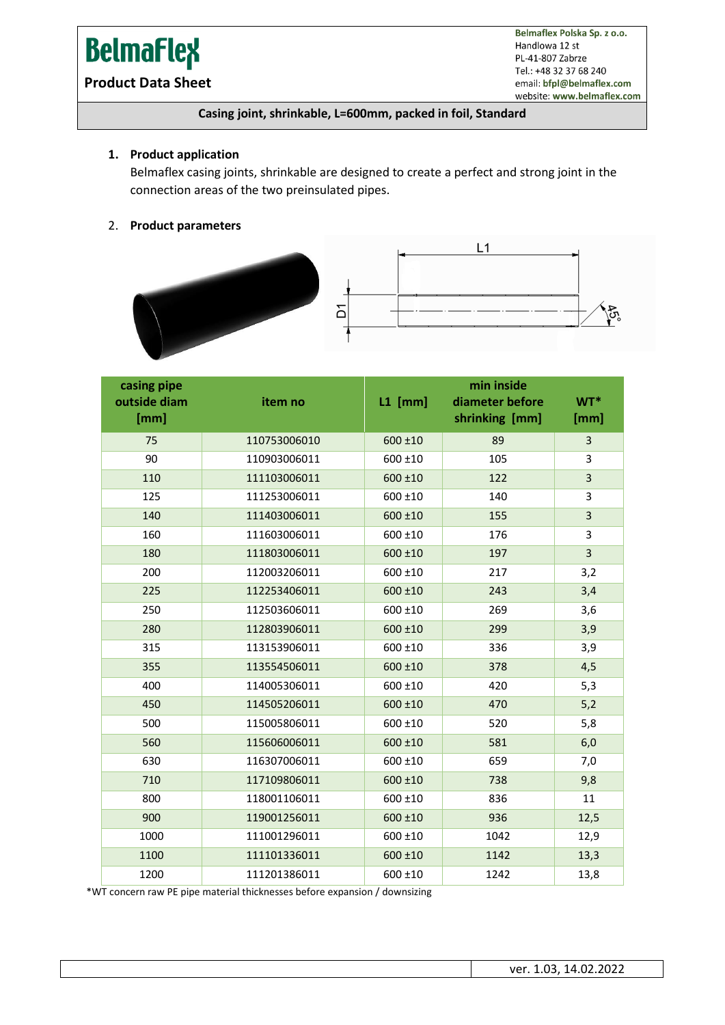# **BelmaFlex**

Belmaflex Polska Sp. z o.o. Handlowa 12 st PL-41-807 Zabrze Tel.: +48 32 37 68 240 email: bfpl@belmaflex.com website: www.belmaflex.com

### **Product Data Sheet**

#### **Casing joint, shrinkable, L=600mm, packed in foil, Standard**

#### **1. Product application**

Belmaflex casing joints, shrinkable are designed to create a perfect and strong joint in the connection areas of the two preinsulated pipes.

#### 2. **Product parameters**





| casing pipe<br>outside diam<br>[mm] | item no      | $L1$ [mm]    | min inside<br>diameter before<br>shrinking [mm] | WT*<br>[mm]             |
|-------------------------------------|--------------|--------------|-------------------------------------------------|-------------------------|
| 75                                  | 110753006010 | $600 \pm 10$ | 89                                              | $\overline{3}$          |
| 90                                  | 110903006011 | 600 ±10      | 105                                             | 3                       |
| 110                                 | 111103006011 | 600 ±10      | 122                                             | $\overline{\mathbf{3}}$ |
| 125                                 | 111253006011 | 600 ±10      | 140                                             | 3                       |
| 140                                 | 111403006011 | 600 ±10      | 155                                             | 3                       |
| 160                                 | 111603006011 | 600 ±10      | 176                                             | 3                       |
| 180                                 | 111803006011 | 600 ±10      | 197                                             | 3                       |
| 200                                 | 112003206011 | 600 ±10      | 217                                             | 3,2                     |
| 225                                 | 112253406011 | 600 ±10      | 243                                             | 3,4                     |
| 250                                 | 112503606011 | 600 ±10      | 269                                             | 3,6                     |
| 280                                 | 112803906011 | 600 ±10      | 299                                             | 3,9                     |
| 315                                 | 113153906011 | $600 \pm 10$ | 336                                             | 3,9                     |
| 355                                 | 113554506011 | 600 ±10      | 378                                             | 4,5                     |
| 400                                 | 114005306011 | 600 ±10      | 420                                             | 5,3                     |
| 450                                 | 114505206011 | 600 ±10      | 470                                             | 5,2                     |
| 500                                 | 115005806011 | 600 ±10      | 520                                             | 5,8                     |
| 560                                 | 115606006011 | 600 ±10      | 581                                             | 6,0                     |
| 630                                 | 116307006011 | 600 ±10      | 659                                             | 7,0                     |
| 710                                 | 117109806011 | $600 + 10$   | 738                                             | 9,8                     |
| 800                                 | 118001106011 | 600 ±10      | 836                                             | 11                      |
| 900                                 | 119001256011 | 600 ±10      | 936                                             | 12,5                    |
| 1000                                | 111001296011 | 600 ±10      | 1042                                            | 12,9                    |
| 1100                                | 111101336011 | 600 ±10      | 1142                                            | 13,3                    |
| 1200                                | 111201386011 | 600 ±10      | 1242                                            | 13,8                    |

\*WT concern raw PE pipe material thicknesses before expansion / downsizing